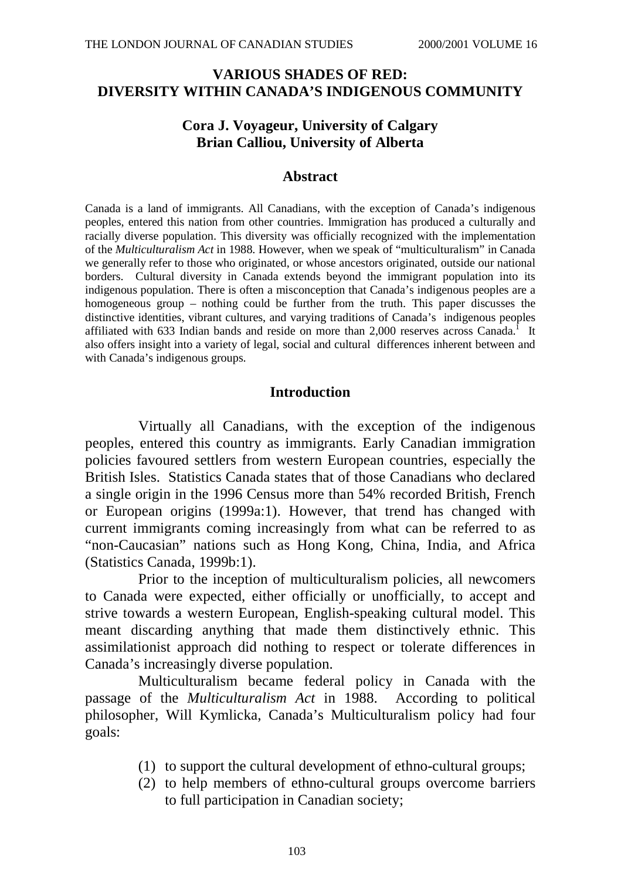## **VARIOUS SHADES OF RED: DIVERSITY WITHIN CANADA'S INDIGENOUS COMMUNITY**

### **Cora J. Voyageur, University of Calgary Brian Calliou, University of Alberta**

### **Abstract**

Canada is a land of immigrants. All Canadians, with the exception of Canada's indigenous peoples, entered this nation from other countries. Immigration has produced a culturally and racially diverse population. This diversity was officially recognized with the implementation of the *Multiculturalism Act* in 1988. However, when we speak of "multiculturalism" in Canada we generally refer to those who originated, or whose ancestors originated, outside our national borders. Cultural diversity in Canada extends beyond the immigrant population into its indigenous population. There is often a misconception that Canada's indigenous peoples are a homogeneous group – nothing could be further from the truth. This paper discusses the distinctive identities, vibrant cultures, and varying traditions of Canada's indigenous peoples affiliated with 633 Indian bands and reside on more than 2,000 reserves across Canada.<sup>1</sup> It also offers insight into a variety of legal, social and cultural differences inherent between and with Canada's indigenous groups.

#### **Introduction**

Virtually all Canadians, with the exception of the indigenous peoples, entered this country as immigrants. Early Canadian immigration policies favoured settlers from western European countries, especially the British Isles. Statistics Canada states that of those Canadians who declared a single origin in the 1996 Census more than 54% recorded British, French or European origins (1999a:1). However, that trend has changed with current immigrants coming increasingly from what can be referred to as "non-Caucasian" nations such as Hong Kong, China, India, and Africa (Statistics Canada, 1999b:1).

Prior to the inception of multiculturalism policies, all newcomers to Canada were expected, either officially or unofficially, to accept and strive towards a western European, English-speaking cultural model. This meant discarding anything that made them distinctively ethnic. This assimilationist approach did nothing to respect or tolerate differences in Canada's increasingly diverse population.

Multiculturalism became federal policy in Canada with the passage of the *Multiculturalism Act* in 1988. According to political philosopher, Will Kymlicka, Canada's Multiculturalism policy had four goals:

- (1) to support the cultural development of ethno-cultural groups;
- (2) to help members of ethno-cultural groups overcome barriers to full participation in Canadian society;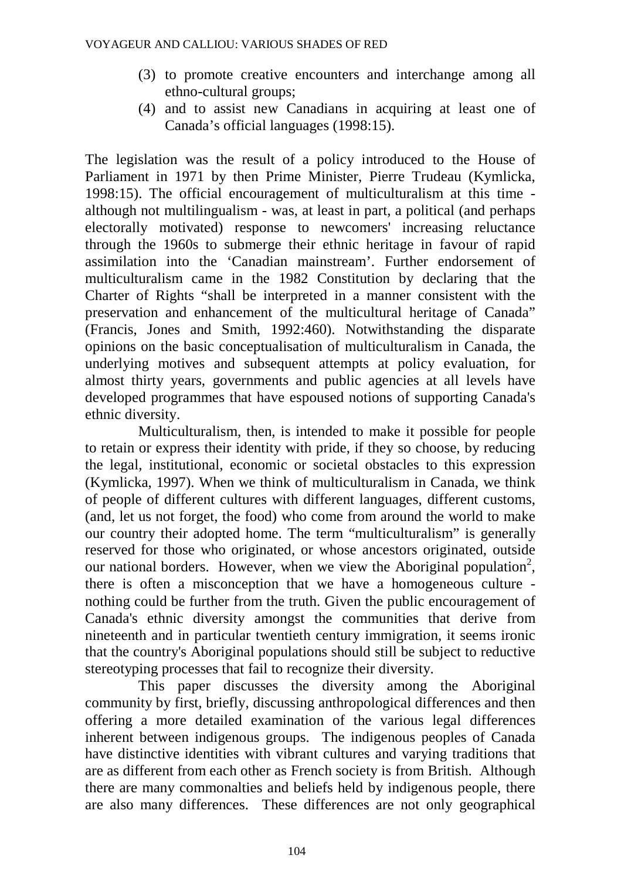- (3) to promote creative encounters and interchange among all ethno-cultural groups;
- (4) and to assist new Canadians in acquiring at least one of Canada's official languages (1998:15).

The legislation was the result of a policy introduced to the House of Parliament in 1971 by then Prime Minister, Pierre Trudeau (Kymlicka, 1998:15). The official encouragement of multiculturalism at this time although not multilingualism - was, at least in part, a political (and perhaps electorally motivated) response to newcomers' increasing reluctance through the 1960s to submerge their ethnic heritage in favour of rapid assimilation into the 'Canadian mainstream'. Further endorsement of multiculturalism came in the 1982 Constitution by declaring that the Charter of Rights "shall be interpreted in a manner consistent with the preservation and enhancement of the multicultural heritage of Canada" (Francis, Jones and Smith, 1992:460). Notwithstanding the disparate opinions on the basic conceptualisation of multiculturalism in Canada, the underlying motives and subsequent attempts at policy evaluation, for almost thirty years, governments and public agencies at all levels have developed programmes that have espoused notions of supporting Canada's ethnic diversity.

Multiculturalism, then, is intended to make it possible for people to retain or express their identity with pride, if they so choose, by reducing the legal, institutional, economic or societal obstacles to this expression (Kymlicka, 1997). When we think of multiculturalism in Canada, we think of people of different cultures with different languages, different customs, (and, let us not forget, the food) who come from around the world to make our country their adopted home. The term "multiculturalism" is generally reserved for those who originated, or whose ancestors originated, outside our national borders. However, when we view the Aboriginal population<sup>[2](#page-15-0)</sup>, there is often a misconception that we have a homogeneous culture nothing could be further from the truth. Given the public encouragement of Canada's ethnic diversity amongst the communities that derive from nineteenth and in particular twentieth century immigration, it seems ironic that the country's Aboriginal populations should still be subject to reductive stereotyping processes that fail to recognize their diversity.

This paper discusses the diversity among the Aboriginal community by first, briefly, discussing anthropological differences and then offering a more detailed examination of the various legal differences inherent between indigenous groups. The indigenous peoples of Canada have distinctive identities with vibrant cultures and varying traditions that are as different from each other as French society is from British. Although there are many commonalties and beliefs held by indigenous people, there are also many differences. These differences are not only geographical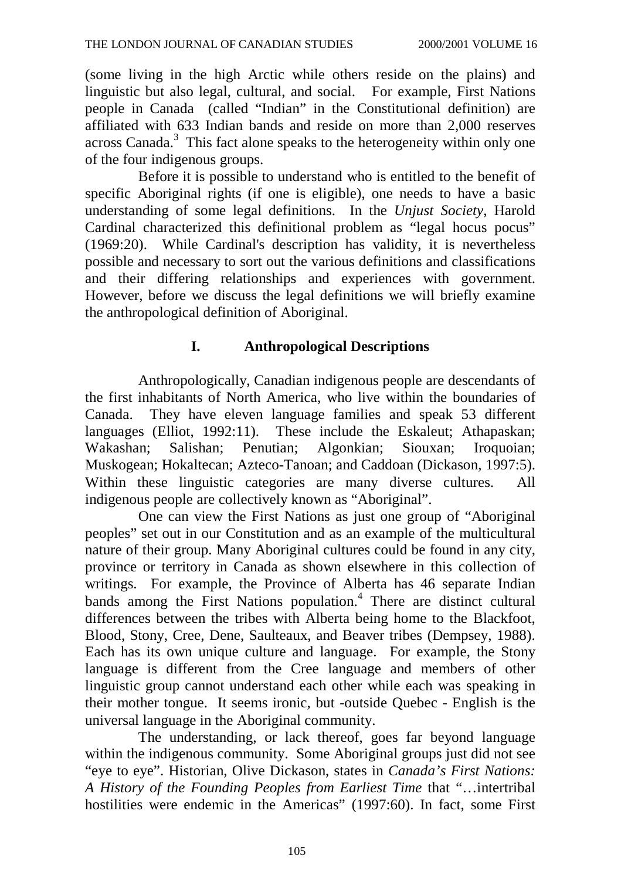(some living in the high Arctic while others reside on the plains) and linguistic but also legal, cultural, and social. For example, First Nations people in Canada (called "Indian" in the Constitutional definition) are affiliated with 633 Indian bands and reside on more than 2,000 reserves across Canada.<sup>[3](#page-15-0)</sup> This fact alone speaks to the heterogeneity within only one of the four indigenous groups.

Before it is possible to understand who is entitled to the benefit of specific Aboriginal rights (if one is eligible), one needs to have a basic understanding of some legal definitions. In the *Unjust Society*, Harold Cardinal characterized this definitional problem as "legal hocus pocus" (1969:20). While Cardinal's description has validity, it is nevertheless possible and necessary to sort out the various definitions and classifications and their differing relationships and experiences with government. However, before we discuss the legal definitions we will briefly examine the anthropological definition of Aboriginal.

### **I. Anthropological Descriptions**

Anthropologically, Canadian indigenous people are descendants of the first inhabitants of North America, who live within the boundaries of Canada. They have eleven language families and speak 53 different languages (Elliot, 1992:11). These include the Eskaleut; Athapaskan; Wakashan; Salishan; Penutian; Algonkian; Siouxan; Iroquoian; Muskogean; Hokaltecan; Azteco-Tanoan; and Caddoan (Dickason, 1997:5). Within these linguistic categories are many diverse cultures. All indigenous people are collectively known as "Aboriginal".

One can view the First Nations as just one group of "Aboriginal peoples" set out in our Constitution and as an example of the multicultural nature of their group. Many Aboriginal cultures could be found in any city, province or territory in Canada as shown elsewhere in this collection of writings. For example, the Province of Alberta has 46 separate Indian bands among the First Nations population.<sup>[4](#page-15-0)</sup> There are distinct cultural differences between the tribes with Alberta being home to the Blackfoot, Blood, Stony, Cree, Dene, Saulteaux, and Beaver tribes (Dempsey, 1988). Each has its own unique culture and language. For example, the Stony language is different from the Cree language and members of other linguistic group cannot understand each other while each was speaking in their mother tongue. It seems ironic, but -outside Quebec - English is the universal language in the Aboriginal community.

The understanding, or lack thereof, goes far beyond language within the indigenous community. Some Aboriginal groups just did not see "eye to eye". Historian, Olive Dickason, states in *Canada's First Nations: A History of the Founding Peoples from Earliest Time* that "…intertribal hostilities were endemic in the Americas" (1997:60). In fact, some First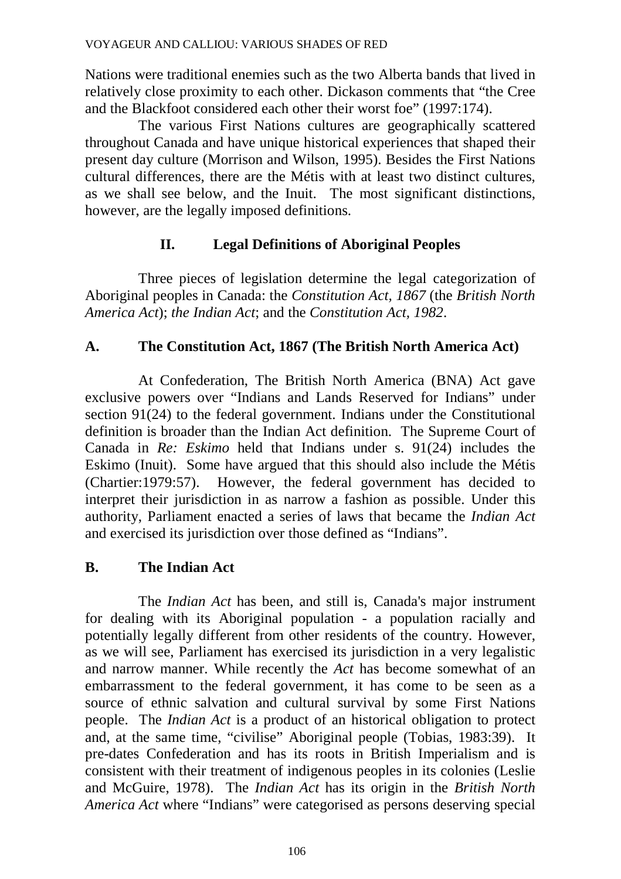Nations were traditional enemies such as the two Alberta bands that lived in relatively close proximity to each other. Dickason comments that "the Cree and the Blackfoot considered each other their worst foe" (1997:174).

The various First Nations cultures are geographically scattered throughout Canada and have unique historical experiences that shaped their present day culture (Morrison and Wilson, 1995). Besides the First Nations cultural differences, there are the Métis with at least two distinct cultures, as we shall see below, and the Inuit. The most significant distinctions, however, are the legally imposed definitions.

# **II. Legal Definitions of Aboriginal Peoples**

Three pieces of legislation determine the legal categorization of Aboriginal peoples in Canada: the *Constitution Act, 1867* (the *British North America Act*); *the Indian Act*; and the *Constitution Act, 1982*.

# **A. The Constitution Act, 1867 (The British North America Act)**

At Confederation, The British North America (BNA) Act gave exclusive powers over "Indians and Lands Reserved for Indians" under section 91(24) to the federal government. Indians under the Constitutional definition is broader than the Indian Act definition. The Supreme Court of Canada in *Re: Eskimo* held that Indians under s. 91(24) includes the Eskimo (Inuit). Some have argued that this should also include the Métis (Chartier:1979:57). However, the federal government has decided to interpret their jurisdiction in as narrow a fashion as possible. Under this authority, Parliament enacted a series of laws that became the *Indian Act* and exercised its jurisdiction over those defined as "Indians".

# **B. The Indian Act**

The *Indian Act* has been, and still is, Canada's major instrument for dealing with its Aboriginal population - a population racially and potentially legally different from other residents of the country. However, as we will see, Parliament has exercised its jurisdiction in a very legalistic and narrow manner. While recently the *Act* has become somewhat of an embarrassment to the federal government, it has come to be seen as a source of ethnic salvation and cultural survival by some First Nations people. The *Indian Act* is a product of an historical obligation to protect and, at the same time, "civilise" Aboriginal people (Tobias, 1983:39). It pre-dates Confederation and has its roots in British Imperialism and is consistent with their treatment of indigenous peoples in its colonies (Leslie and McGuire, 1978). The *Indian Act* has its origin in the *British North America Act* where "Indians" were categorised as persons deserving special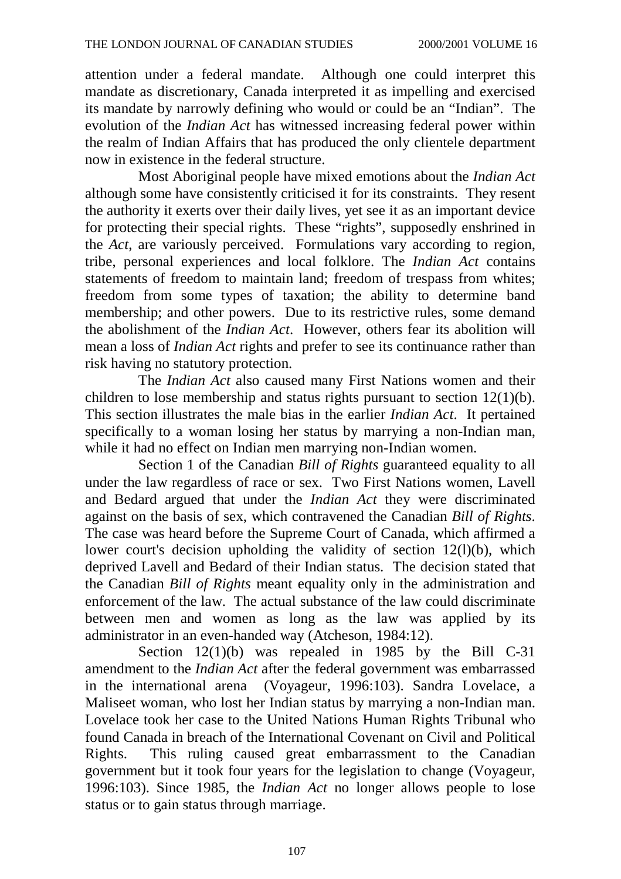attention under a federal mandate. Although one could interpret this mandate as discretionary, Canada interpreted it as impelling and exercised its mandate by narrowly defining who would or could be an "Indian". The evolution of the *Indian Act* has witnessed increasing federal power within the realm of Indian Affairs that has produced the only clientele department now in existence in the federal structure.

Most Aboriginal people have mixed emotions about the *Indian Act* although some have consistently criticised it for its constraints. They resent the authority it exerts over their daily lives, yet see it as an important device for protecting their special rights. These "rights", supposedly enshrined in the *Act*, are variously perceived. Formulations vary according to region, tribe, personal experiences and local folklore. The *Indian Act* contains statements of freedom to maintain land; freedom of trespass from whites; freedom from some types of taxation; the ability to determine band membership; and other powers. Due to its restrictive rules, some demand the abolishment of the *Indian Act*. However, others fear its abolition will mean a loss of *Indian Act* rights and prefer to see its continuance rather than risk having no statutory protection.

The *Indian Act* also caused many First Nations women and their children to lose membership and status rights pursuant to section 12(1)(b). This section illustrates the male bias in the earlier *Indian Act*. It pertained specifically to a woman losing her status by marrying a non-Indian man, while it had no effect on Indian men marrying non-Indian women.

Section 1 of the Canadian *Bill of Rights* guaranteed equality to all under the law regardless of race or sex. Two First Nations women, Lavell and Bedard argued that under the *Indian Act* they were discriminated against on the basis of sex, which contravened the Canadian *Bill of Rights*. The case was heard before the Supreme Court of Canada, which affirmed a lower court's decision upholding the validity of section 12(1)(b), which deprived Lavell and Bedard of their Indian status. The decision stated that the Canadian *Bill of Rights* meant equality only in the administration and enforcement of the law. The actual substance of the law could discriminate between men and women as long as the law was applied by its administrator in an even-handed way (Atcheson, 1984:12).

Section 12(1)(b) was repealed in 1985 by the Bill C-31 amendment to the *Indian Act* after the federal government was embarrassed in the international arena (Voyageur, 1996:103). Sandra Lovelace, a Maliseet woman, who lost her Indian status by marrying a non-Indian man. Lovelace took her case to the United Nations Human Rights Tribunal who found Canada in breach of the International Covenant on Civil and Political Rights. This ruling caused great embarrassment to the Canadian government but it took four years for the legislation to change (Voyageur, 1996:103). Since 1985, the *Indian Act* no longer allows people to lose status or to gain status through marriage.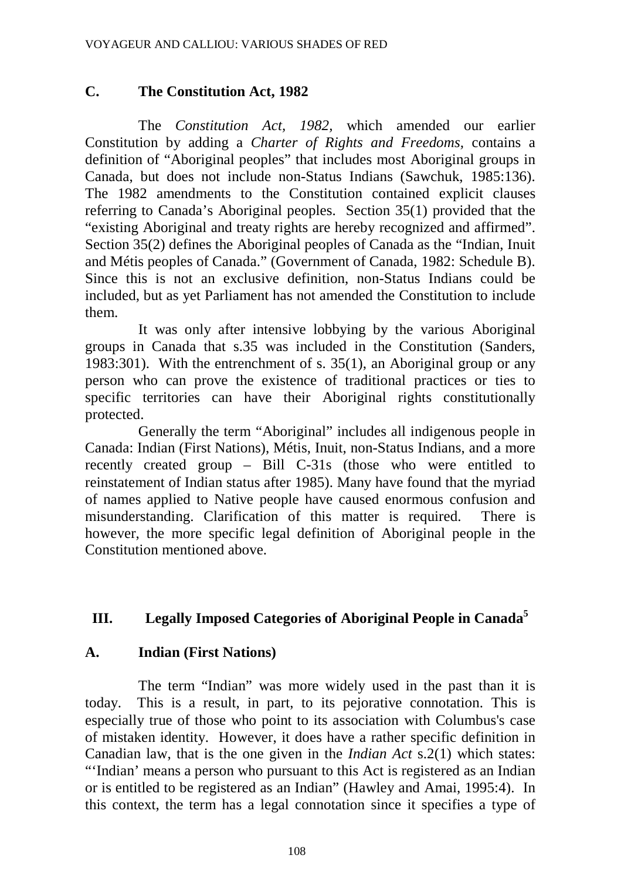## **C. The Constitution Act, 1982**

The *Constitution Act, 1982,* which amended our earlier Constitution by adding a *Charter of Rights and Freedoms,* contains a definition of "Aboriginal peoples" that includes most Aboriginal groups in Canada, but does not include non-Status Indians (Sawchuk, 1985:136). The 1982 amendments to the Constitution contained explicit clauses referring to Canada's Aboriginal peoples. Section 35(1) provided that the "existing Aboriginal and treaty rights are hereby recognized and affirmed". Section 35(2) defines the Aboriginal peoples of Canada as the "Indian, Inuit and Métis peoples of Canada." (Government of Canada, 1982: Schedule B). Since this is not an exclusive definition, non-Status Indians could be included, but as yet Parliament has not amended the Constitution to include them.

It was only after intensive lobbying by the various Aboriginal groups in Canada that s.35 was included in the Constitution (Sanders, 1983:301). With the entrenchment of s. 35(1), an Aboriginal group or any person who can prove the existence of traditional practices or ties to specific territories can have their Aboriginal rights constitutionally protected.

Generally the term "Aboriginal" includes all indigenous people in Canada: Indian (First Nations), Métis, Inuit, non-Status Indians, and a more recently created group – Bill C-31s (those who were entitled to reinstatement of Indian status after 1985). Many have found that the myriad of names applied to Native people have caused enormous confusion and misunderstanding. Clarification of this matter is required. There is however, the more specific legal definition of Aboriginal people in the Constitution mentioned above.

## **III. Legally Imposed Categories of Aboriginal People in Canada[5](#page-15-0)**

### **A. Indian (First Nations)**

The term "Indian" was more widely used in the past than it is today. This is a result, in part, to its pejorative connotation. This is especially true of those who point to its association with Columbus's case of mistaken identity. However, it does have a rather specific definition in Canadian law, that is the one given in the *Indian Act* s.2(1) which states: "'Indian' means a person who pursuant to this Act is registered as an Indian or is entitled to be registered as an Indian" (Hawley and Amai, 1995:4). In this context, the term has a legal connotation since it specifies a type of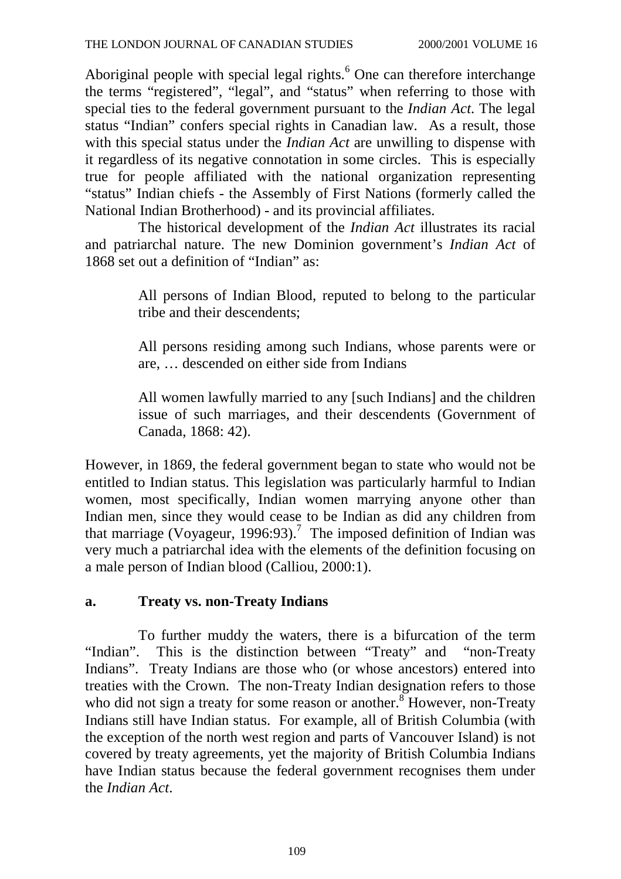Aboriginal people with special legal rights.<sup>[6](#page-15-0)</sup> One can therefore interchange the terms "registered", "legal", and "status" when referring to those with special ties to the federal government pursuant to the *Indian Act*. The legal status "Indian" confers special rights in Canadian law. As a result, those with this special status under the *Indian Act* are unwilling to dispense with it regardless of its negative connotation in some circles. This is especially true for people affiliated with the national organization representing "status" Indian chiefs - the Assembly of First Nations (formerly called the National Indian Brotherhood) - and its provincial affiliates.

The historical development of the *Indian Act* illustrates its racial and patriarchal nature. The new Dominion government's *Indian Act* of 1868 set out a definition of "Indian" as:

> All persons of Indian Blood, reputed to belong to the particular tribe and their descendents;

> All persons residing among such Indians, whose parents were or are, … descended on either side from Indians

> All women lawfully married to any [such Indians] and the children issue of such marriages, and their descendents (Government of Canada, 1868: 42).

However, in 1869, the federal government began to state who would not be entitled to Indian status. This legislation was particularly harmful to Indian women, most specifically, Indian women marrying anyone other than Indian men, since they would cease to be Indian as did any children from that marriage (Voyageur, 1996:93).<sup>7</sup> The imposed definition of Indian was very much a patriarchal idea with the elements of the definition focusing on a male person of Indian blood (Calliou, 2000:1).

## **a. Treaty vs. non-Treaty Indians**

To further muddy the waters, there is a bifurcation of the term "Indian". This is the distinction between "Treaty" and "non-Treaty Indians". Treaty Indians are those who (or whose ancestors) entered into treaties with the Crown. The non-Treaty Indian designation refers to those who did not sign a treaty for some reason or another.<sup>[8](#page-15-0)</sup> However, non-Treaty Indians still have Indian status. For example, all of British Columbia (with the exception of the north west region and parts of Vancouver Island) is not covered by treaty agreements, yet the majority of British Columbia Indians have Indian status because the federal government recognises them under the *Indian Act*.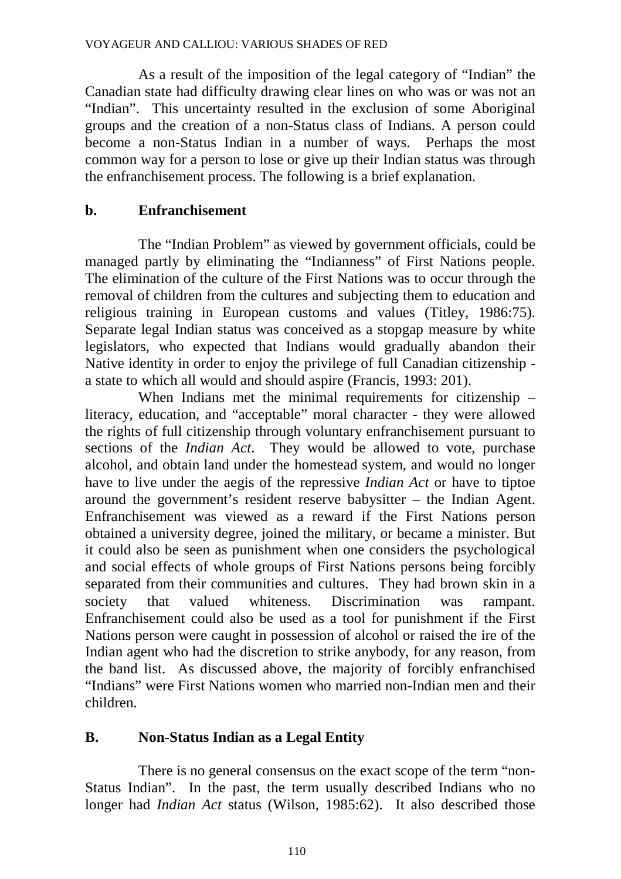#### VOYAGEUR AND CALLIOU: VARIOUS SHADES OF RED

As a result of the imposition of the legal category of "Indian" the Canadian state had difficulty drawing clear lines on who was or was not an "Indian". This uncertainty resulted in the exclusion of some Aboriginal groups and the creation of a non-Status class of Indians. A person could become a non-Status Indian in a number of ways. Perhaps the most common way for a person to lose or give up their Indian status was through the enfranchisement process. The following is a brief explanation.

## **b. Enfranchisement**

The "Indian Problem" as viewed by government officials, could be managed partly by eliminating the "Indianness" of First Nations people. The elimination of the culture of the First Nations was to occur through the removal of children from the cultures and subjecting them to education and religious training in European customs and values (Titley, 1986:75). Separate legal Indian status was conceived as a stopgap measure by white legislators, who expected that Indians would gradually abandon their Native identity in order to enjoy the privilege of full Canadian citizenship a state to which all would and should aspire (Francis, 1993: 201).

When Indians met the minimal requirements for citizenship – literacy, education, and "acceptable" moral character - they were allowed the rights of full citizenship through voluntary enfranchisement pursuant to sections of the *Indian Act*. They would be allowed to vote, purchase alcohol, and obtain land under the homestead system, and would no longer have to live under the aegis of the repressive *Indian Act* or have to tiptoe around the government's resident reserve babysitter – the Indian Agent. Enfranchisement was viewed as a reward if the First Nations person obtained a university degree, joined the military, or became a minister. But it could also be seen as punishment when one considers the psychological and social effects of whole groups of First Nations persons being forcibly separated from their communities and cultures. They had brown skin in a society that valued whiteness. Discrimination was rampant. Enfranchisement could also be used as a tool for punishment if the First Nations person were caught in possession of alcohol or raised the ire of the Indian agent who had the discretion to strike anybody, for any reason, from the band list. As discussed above, the majority of forcibly enfranchised "Indians" were First Nations women who married non-Indian men and their children.

## **B. Non-Status Indian as a Legal Entity**

There is no general consensus on the exact scope of the term "non-Status Indian". In the past, the term usually described Indians who no longer had *Indian Act* status (Wilson, 1985:62). It also described those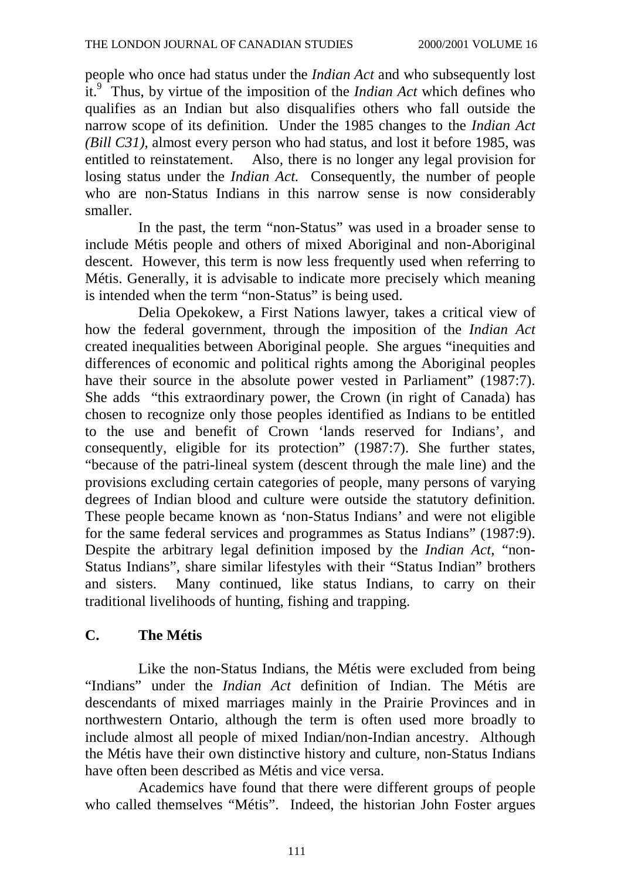people who once had status under the *Indian Act* and who subsequently lost it.<sup>[9](#page-15-0)</sup> Thus, by virtue of the imposition of the *Indian Act* which defines who qualifies as an Indian but also disqualifies others who fall outside the narrow scope of its definition. Under the 1985 changes to the *Indian Act (Bill C31),* almost every person who had status, and lost it before 1985, was entitled to reinstatement. Also, there is no longer any legal provision for losing status under the *Indian Act.* Consequently, the number of people who are non-Status Indians in this narrow sense is now considerably smaller.

In the past, the term "non-Status" was used in a broader sense to include Métis people and others of mixed Aboriginal and non-Aboriginal descent. However, this term is now less frequently used when referring to Métis. Generally, it is advisable to indicate more precisely which meaning is intended when the term "non-Status" is being used.

Delia Opekokew, a First Nations lawyer, takes a critical view of how the federal government, through the imposition of the *Indian Act* created inequalities between Aboriginal people. She argues "inequities and differences of economic and political rights among the Aboriginal peoples have their source in the absolute power vested in Parliament" (1987:7). She adds "this extraordinary power, the Crown (in right of Canada) has chosen to recognize only those peoples identified as Indians to be entitled to the use and benefit of Crown 'lands reserved for Indians', and consequently, eligible for its protection" (1987:7). She further states, "because of the patri-lineal system (descent through the male line) and the provisions excluding certain categories of people, many persons of varying degrees of Indian blood and culture were outside the statutory definition. These people became known as 'non-Status Indians' and were not eligible for the same federal services and programmes as Status Indians" (1987:9). Despite the arbitrary legal definition imposed by the *Indian Act*, "non-Status Indians", share similar lifestyles with their "Status Indian" brothers and sisters. Many continued, like status Indians, to carry on their traditional livelihoods of hunting, fishing and trapping.

## **C. The Métis**

Like the non-Status Indians, the Métis were excluded from being "Indians" under the *Indian Act* definition of Indian. The Métis are descendants of mixed marriages mainly in the Prairie Provinces and in northwestern Ontario, although the term is often used more broadly to include almost all people of mixed Indian/non-Indian ancestry. Although the Métis have their own distinctive history and culture, non-Status Indians have often been described as Métis and vice versa.

Academics have found that there were different groups of people who called themselves "Métis". Indeed, the historian John Foster argues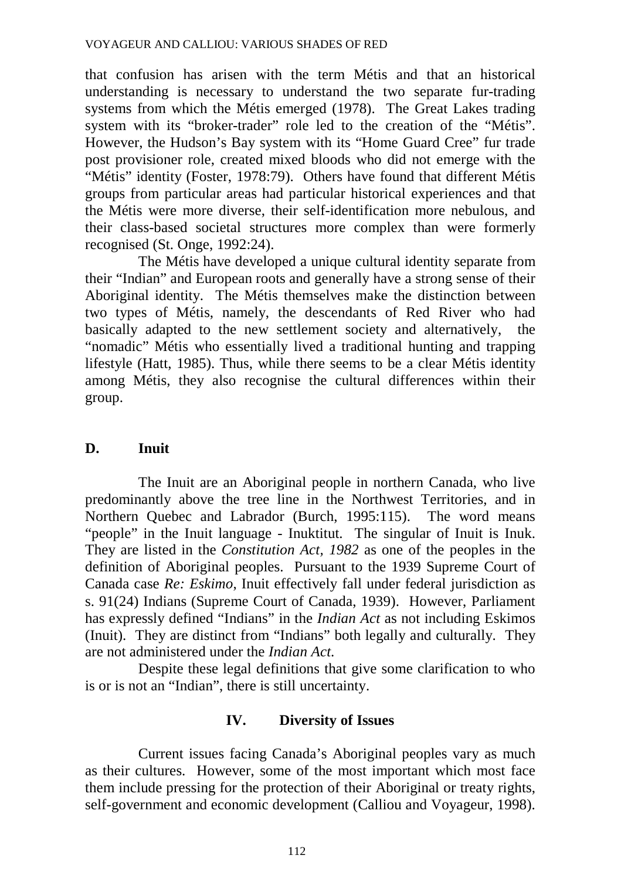that confusion has arisen with the term Métis and that an historical understanding is necessary to understand the two separate fur-trading systems from which the Métis emerged (1978). The Great Lakes trading system with its "broker-trader" role led to the creation of the "Métis". However, the Hudson's Bay system with its "Home Guard Cree" fur trade post provisioner role, created mixed bloods who did not emerge with the "Métis" identity (Foster, 1978:79). Others have found that different Métis groups from particular areas had particular historical experiences and that the Métis were more diverse, their self-identification more nebulous, and their class-based societal structures more complex than were formerly recognised (St. Onge, 1992:24).

The Métis have developed a unique cultural identity separate from their "Indian" and European roots and generally have a strong sense of their Aboriginal identity. The Métis themselves make the distinction between two types of Métis, namely, the descendants of Red River who had basically adapted to the new settlement society and alternatively, the "nomadic" Métis who essentially lived a traditional hunting and trapping lifestyle (Hatt, 1985). Thus, while there seems to be a clear Métis identity among Métis, they also recognise the cultural differences within their group.

# **D. Inuit**

The Inuit are an Aboriginal people in northern Canada, who live predominantly above the tree line in the Northwest Territories, and in Northern Quebec and Labrador (Burch, 1995:115). The word means "people" in the Inuit language - Inuktitut. The singular of Inuit is Inuk. They are listed in the *Constitution Act, 1982* as one of the peoples in the definition of Aboriginal peoples. Pursuant to the 1939 Supreme Court of Canada case *Re: Eskimo*, Inuit effectively fall under federal jurisdiction as s. 91(24) Indians (Supreme Court of Canada, 1939). However, Parliament has expressly defined "Indians" in the *Indian Act* as not including Eskimos (Inuit). They are distinct from "Indians" both legally and culturally. They are not administered under the *Indian Act*.

Despite these legal definitions that give some clarification to who is or is not an "Indian", there is still uncertainty.

## **IV. Diversity of Issues**

Current issues facing Canada's Aboriginal peoples vary as much as their cultures. However, some of the most important which most face them include pressing for the protection of their Aboriginal or treaty rights, self-government and economic development (Calliou and Voyageur, 1998).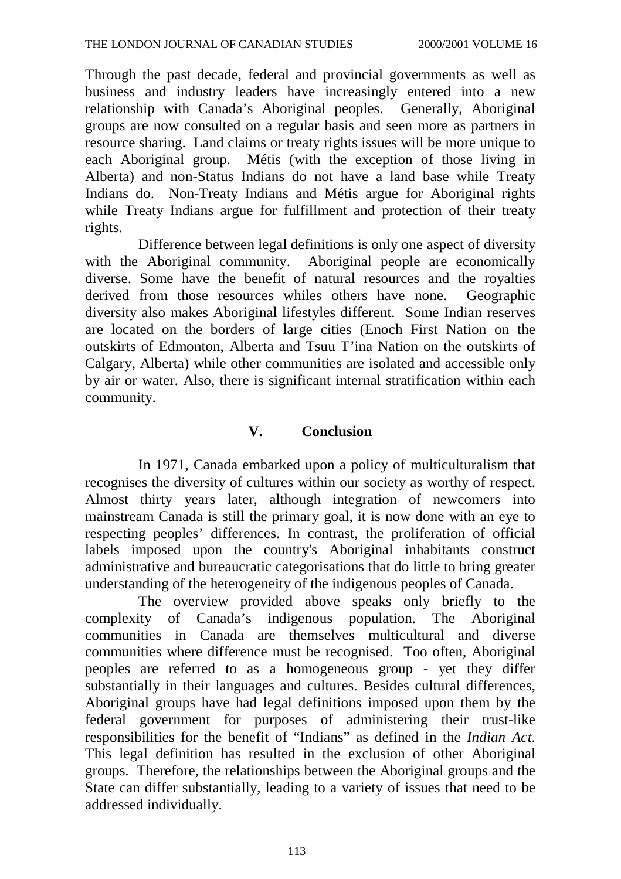Through the past decade, federal and provincial governments as well as business and industry leaders have increasingly entered into a new relationship with Canada's Aboriginal peoples. Generally, Aboriginal groups are now consulted on a regular basis and seen more as partners in resource sharing. Land claims or treaty rights issues will be more unique to each Aboriginal group. Métis (with the exception of those living in Alberta) and non-Status Indians do not have a land base while Treaty Indians do. Non-Treaty Indians and Métis argue for Aboriginal rights while Treaty Indians argue for fulfillment and protection of their treaty rights.

Difference between legal definitions is only one aspect of diversity with the Aboriginal community. Aboriginal people are economically diverse. Some have the benefit of natural resources and the royalties derived from those resources whiles others have none. Geographic diversity also makes Aboriginal lifestyles different. Some Indian reserves are located on the borders of large cities (Enoch First Nation on the outskirts of Edmonton, Alberta and Tsuu T'ina Nation on the outskirts of Calgary, Alberta) while other communities are isolated and accessible only by air or water. Also, there is significant internal stratification within each community.

### **V. Conclusion**

In 1971, Canada embarked upon a policy of multiculturalism that recognises the diversity of cultures within our society as worthy of respect. Almost thirty years later, although integration of newcomers into mainstream Canada is still the primary goal, it is now done with an eye to respecting peoples' differences. In contrast, the proliferation of official labels imposed upon the country's Aboriginal inhabitants construct administrative and bureaucratic categorisations that do little to bring greater understanding of the heterogeneity of the indigenous peoples of Canada.

The overview provided above speaks only briefly to the complexity of Canada's indigenous population. The Aboriginal communities in Canada are themselves multicultural and diverse communities where difference must be recognised. Too often, Aboriginal peoples are referred to as a homogeneous group - yet they differ substantially in their languages and cultures. Besides cultural differences, Aboriginal groups have had legal definitions imposed upon them by the federal government for purposes of administering their trust-like responsibilities for the benefit of "Indians" as defined in the *Indian Act*. This legal definition has resulted in the exclusion of other Aboriginal groups. Therefore, the relationships between the Aboriginal groups and the State can differ substantially, leading to a variety of issues that need to be addressed individually.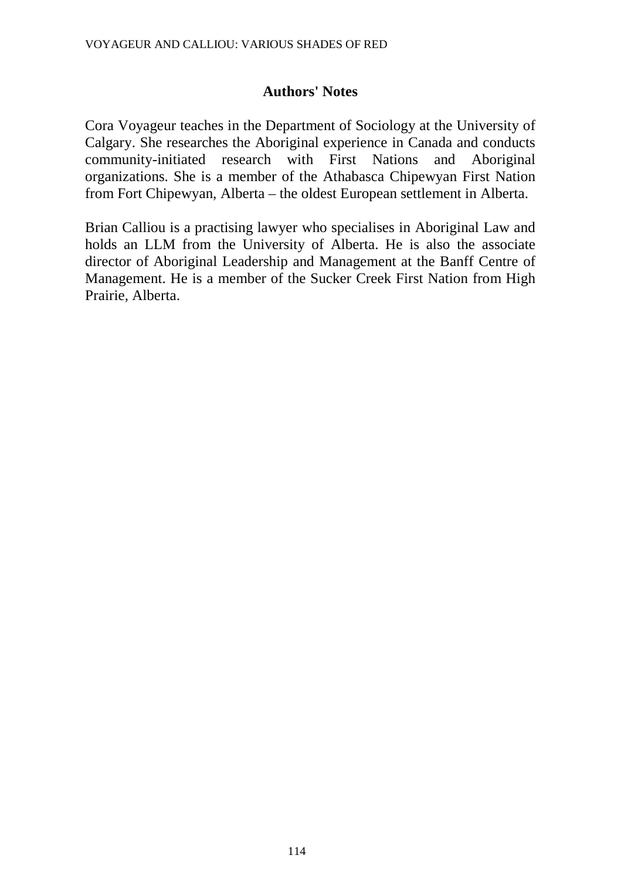### **Authors' Notes**

Cora Voyageur teaches in the Department of Sociology at the University of Calgary. She researches the Aboriginal experience in Canada and conducts community-initiated research with First Nations and Aboriginal organizations. She is a member of the Athabasca Chipewyan First Nation from Fort Chipewyan, Alberta – the oldest European settlement in Alberta.

Brian Calliou is a practising lawyer who specialises in Aboriginal Law and holds an LLM from the University of Alberta. He is also the associate director of Aboriginal Leadership and Management at the Banff Centre of Management. He is a member of the Sucker Creek First Nation from High Prairie, Alberta.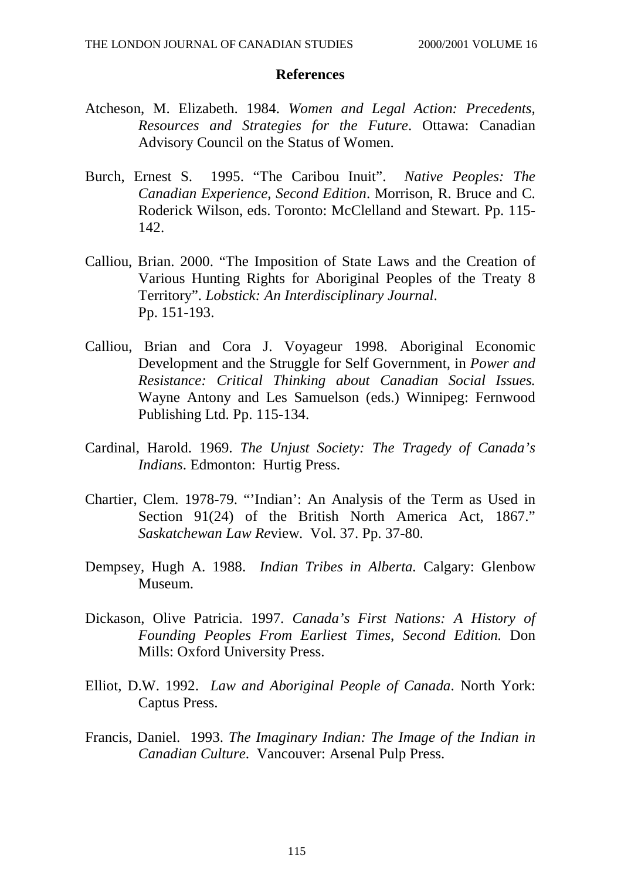#### **References**

- Atcheson, M. Elizabeth. 1984. *Women and Legal Action: Precedents, Resources and Strategies for the Future*. Ottawa: Canadian Advisory Council on the Status of Women.
- Burch, Ernest S. 1995. "The Caribou Inuit". *Native Peoples: The Canadian Experience*, *Second Edition*. Morrison, R. Bruce and C. Roderick Wilson, eds. Toronto: McClelland and Stewart. Pp. 115- 142.
- Calliou, Brian. 2000. "The Imposition of State Laws and the Creation of Various Hunting Rights for Aboriginal Peoples of the Treaty 8 Territory". *Lobstick: An Interdisciplinary Journal*. Pp. 151-193.
- Calliou, Brian and Cora J. Voyageur 1998. Aboriginal Economic Development and the Struggle for Self Government, in *Power and Resistance: Critical Thinking about Canadian Social Issues.* Wayne Antony and Les Samuelson (eds.) Winnipeg: Fernwood Publishing Ltd. Pp. 115-134.
- Cardinal, Harold. 1969. *The Unjust Society: The Tragedy of Canada's Indians*. Edmonton: Hurtig Press.
- Chartier, Clem. 1978-79. "'Indian': An Analysis of the Term as Used in Section 91(24) of the British North America Act, 1867." *Saskatchewan Law Re*view. Vol. 37. Pp. 37-80.
- Dempsey, Hugh A. 1988. *Indian Tribes in Alberta.* Calgary: Glenbow Museum.
- Dickason, Olive Patricia. 1997. *Canada's First Nations: A History of Founding Peoples From Earliest Times*, *Second Edition.* Don Mills: Oxford University Press.
- Elliot, D.W. 1992. *Law and Aboriginal People of Canada*. North York: Captus Press.
- Francis, Daniel. 1993. *The Imaginary Indian: The Image of the Indian in Canadian Culture*. Vancouver: Arsenal Pulp Press.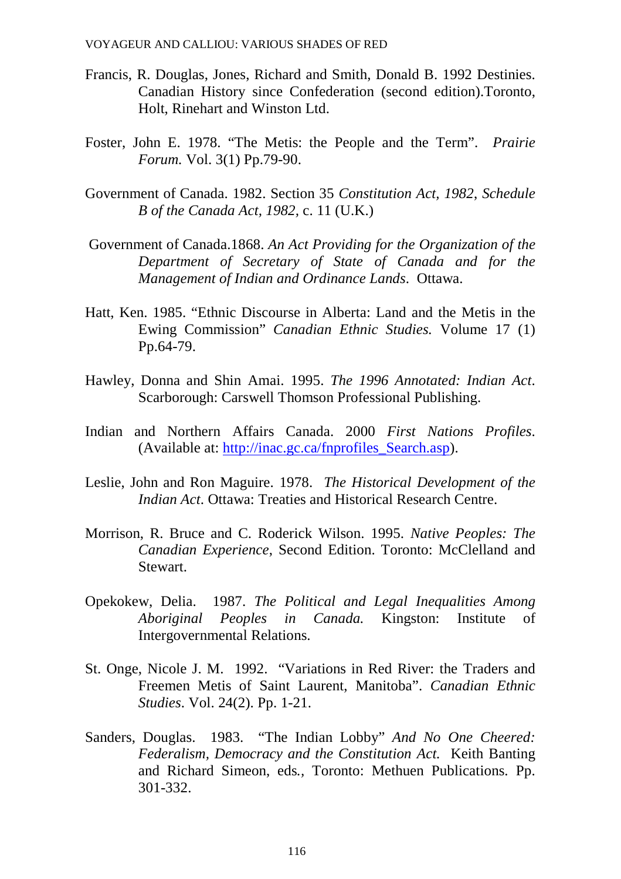- Francis, R. Douglas, Jones, Richard and Smith, Donald B. 1992 Destinies. Canadian History since Confederation (second edition).Toronto, Holt, Rinehart and Winston Ltd.
- Foster, John E. 1978. "The Metis: the People and the Term". *Prairie Forum.* Vol. 3(1) Pp.79-90.
- Government of Canada. 1982. Section 35 *Constitution Act, 1982*, *Schedule B of the Canada Act, 1982,* c. 11 (U.K.)
- Government of Canada.1868. *An Act Providing for the Organization of the Department of Secretary of State of Canada and for the Management of Indian and Ordinance Lands*. Ottawa.
- Hatt, Ken. 1985. "Ethnic Discourse in Alberta: Land and the Metis in the Ewing Commission" *Canadian Ethnic Studies.* Volume 17 (1) Pp.64-79.
- Hawley, Donna and Shin Amai. 1995. *The 1996 Annotated: Indian Act*. Scarborough: Carswell Thomson Professional Publishing.
- Indian and Northern Affairs Canada. 2000 *First Nations Profiles*. (Available at: [http://inac.gc.ca/fnprofiles\\_Search.asp\)](http://inac.gc.ca/fnprofiles_Search.asp).
- Leslie, John and Ron Maguire. 1978. *The Historical Development of the Indian Act*. Ottawa: Treaties and Historical Research Centre.
- Morrison, R. Bruce and C. Roderick Wilson. 1995. *Native Peoples: The Canadian Experience*, Second Edition. Toronto: McClelland and Stewart.
- Opekokew, Delia. 1987. *The Political and Legal Inequalities Among Aboriginal Peoples in Canada.* Kingston: Institute of Intergovernmental Relations.
- St. Onge, Nicole J. M. 1992. "Variations in Red River: the Traders and Freemen Metis of Saint Laurent, Manitoba". *Canadian Ethnic Studies*. Vol. 24(2). Pp. 1-21.
- Sanders, Douglas. 1983. "The Indian Lobby" *And No One Cheered: Federalism, Democracy and the Constitution Act.* Keith Banting and Richard Simeon, eds*.,* Toronto: Methuen Publications. Pp. 301-332.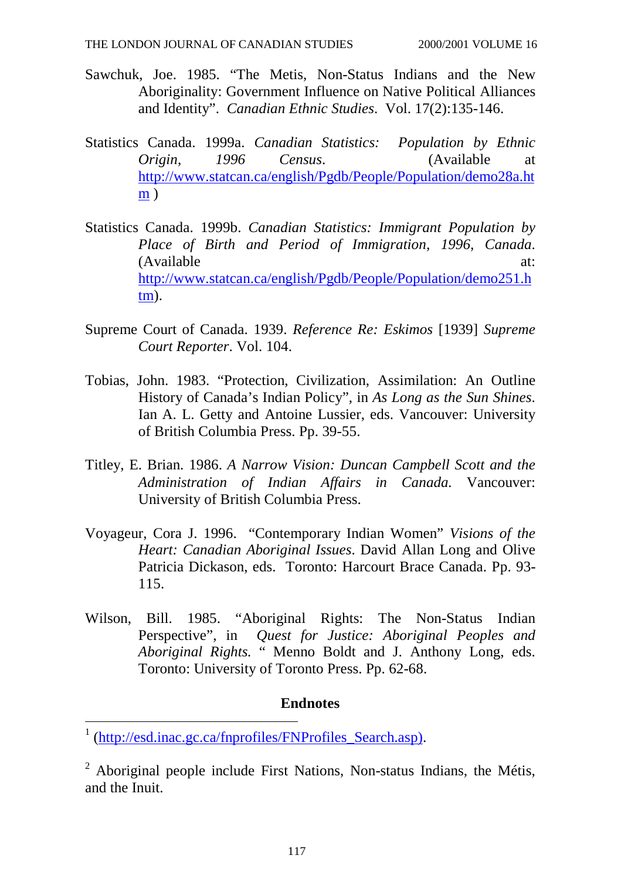- Sawchuk, Joe. 1985. "The Metis, Non-Status Indians and the New Aboriginality: Government Influence on Native Political Alliances and Identity". *Canadian Ethnic Studies*. Vol. 17(2):135-146.
- Statistics Canada. 1999a. *Canadian Statistics: Population by Ethnic Origin, 1996 Census*. (Available at [http://www.statcan.ca/english/Pgdb/People/Population/demo28a.ht](http://www.statcan.ca/english/Pgdb/People/Population/demo28a.htm)  $m)$  $m)$
- Statistics Canada. 1999b. *Canadian Statistics: Immigrant Population by Place of Birth and Period of Immigration, 1996, Canada*. (Available at: [http://www.statcan.ca/english/Pgdb/People/Population/demo251.h](http://www.statcan.ca/english/Pgdb/People/Population/demo251.htm) t[m\)](http://www.statcan.ca/english/Pgdb/People/Population/demo251.htm).
- Supreme Court of Canada. 1939. *Reference Re: Eskimos* [1939] *Supreme Court Reporter*. Vol. 104.
- Tobias, John. 1983. "Protection, Civilization, Assimilation: An Outline History of Canada's Indian Policy", in *As Long as the Sun Shines*. Ian A. L. Getty and Antoine Lussier, eds. Vancouver: University of British Columbia Press. Pp. 39-55.
- Titley, E. Brian. 1986. *A Narrow Vision: Duncan Campbell Scott and the Administration of Indian Affairs in Canada.* Vancouver: University of British Columbia Press.
- Voyageur, Cora J. 1996. "Contemporary Indian Women" *Visions of the Heart: Canadian Aboriginal Issues*. David Allan Long and Olive Patricia Dickason, eds. Toronto: Harcourt Brace Canada. Pp. 93- 115.
- Wilson, Bill. 1985. "Aboriginal Rights: The Non-Status Indian Perspective", in *Quest for Justice: Aboriginal Peoples and Aboriginal Rights.* " Menno Boldt and J. Anthony Long, eds. Toronto: University of Toronto Press. Pp. 62-68.

### **Endnotes**

<sup>&</sup>lt;sup>1</sup> (http://esd.inac.gc.ca/fnprofiles/FNProfiles\_Search.asp).

 $2$  Aboriginal people include First Nations, Non-status Indians, the Métis, and the Inuit.